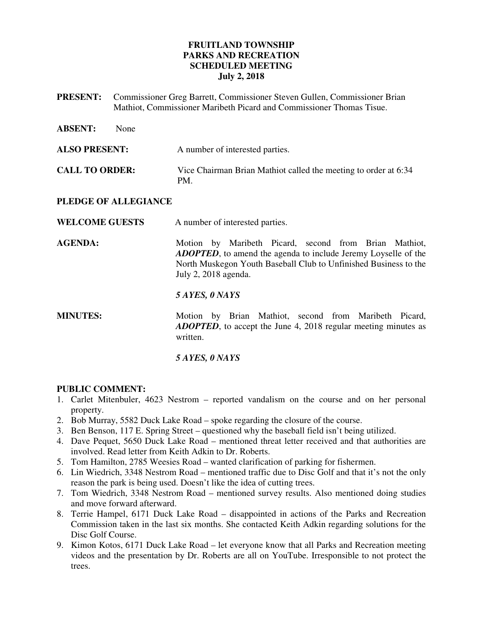## **FRUITLAND TOWNSHIP PARKS AND RECREATION SCHEDULED MEETING July 2, 2018**

**PRESENT:** Commissioner Greg Barrett, Commissioner Steven Gullen, Commissioner Brian Mathiot, Commissioner Maribeth Picard and Commissioner Thomas Tisue.

| <b>ABSENT:</b>        | None |                                                                                                                                                                                                                             |
|-----------------------|------|-----------------------------------------------------------------------------------------------------------------------------------------------------------------------------------------------------------------------------|
| <b>ALSO PRESENT:</b>  |      | A number of interested parties.                                                                                                                                                                                             |
| <b>CALL TO ORDER:</b> |      | Vice Chairman Brian Mathiot called the meeting to order at 6:34<br>PM.                                                                                                                                                      |
| PLEDGE OF ALLEGIANCE  |      |                                                                                                                                                                                                                             |
| <b>WELCOME GUESTS</b> |      | A number of interested parties.                                                                                                                                                                                             |
| <b>AGENDA:</b>        |      | Motion by Maribeth Picard, second from Brian Mathiot,<br><b>ADOPTED</b> , to amend the agenda to include Jeremy Loyselle of the<br>North Muskegon Youth Baseball Club to Unfinished Business to the<br>July 2, 2018 agenda. |
|                       |      | 5 AYES, 0 NAYS                                                                                                                                                                                                              |
| <b>MINUTES:</b>       |      | Motion by Brian Mathiot, second from Maribeth Picard,<br><b>ADOPTED</b> , to accept the June 4, 2018 regular meeting minutes as<br>written.                                                                                 |
|                       |      | 5 AYES, 0 NAYS                                                                                                                                                                                                              |

#### **PUBLIC COMMENT:**

- 1. Carlet Mitenbuler, 4623 Nestrom reported vandalism on the course and on her personal property.
- 2. Bob Murray, 5582 Duck Lake Road spoke regarding the closure of the course.
- 3. Ben Benson, 117 E. Spring Street questioned why the baseball field isn't being utilized.
- 4. Dave Pequet, 5650 Duck Lake Road mentioned threat letter received and that authorities are involved. Read letter from Keith Adkin to Dr. Roberts.
- 5. Tom Hamilton, 2785 Weesies Road wanted clarification of parking for fishermen.
- 6. Lin Wiedrich, 3348 Nestrom Road mentioned traffic due to Disc Golf and that it's not the only reason the park is being used. Doesn't like the idea of cutting trees.
- 7. Tom Wiedrich, 3348 Nestrom Road mentioned survey results. Also mentioned doing studies and move forward afterward.
- 8. Terrie Hampel, 6171 Duck Lake Road disappointed in actions of the Parks and Recreation Commission taken in the last six months. She contacted Keith Adkin regarding solutions for the Disc Golf Course.
- 9. Kimon Kotos, 6171 Duck Lake Road let everyone know that all Parks and Recreation meeting videos and the presentation by Dr. Roberts are all on YouTube. Irresponsible to not protect the trees.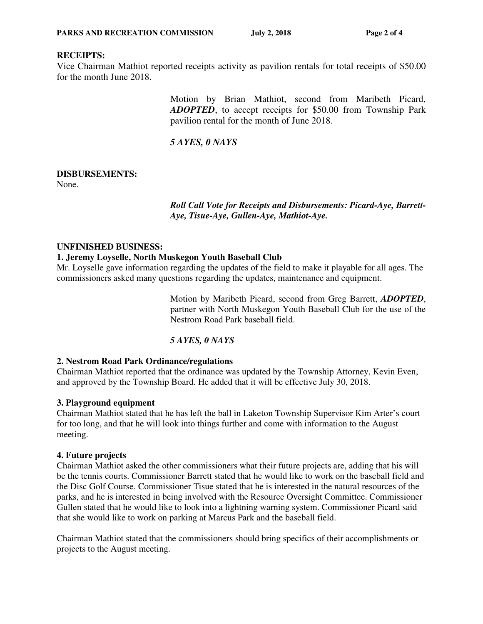## **RECEIPTS:**

Vice Chairman Mathiot reported receipts activity as pavilion rentals for total receipts of \$50.00 for the month June 2018.

> Motion by Brian Mathiot, second from Maribeth Picard, *ADOPTED*, to accept receipts for \$50.00 from Township Park pavilion rental for the month of June 2018.

*5 AYES, 0 NAYS*

# **DISBURSEMENTS:**

None.

*Roll Call Vote for Receipts and Disbursements: Picard-Aye, Barrett-Aye, Tisue-Aye, Gullen-Aye, Mathiot-Aye.* 

## **UNFINISHED BUSINESS:**

#### **1. Jeremy Loyselle, North Muskegon Youth Baseball Club**

Mr. Loyselle gave information regarding the updates of the field to make it playable for all ages. The commissioners asked many questions regarding the updates, maintenance and equipment.

> Motion by Maribeth Picard, second from Greg Barrett, *ADOPTED*, partner with North Muskegon Youth Baseball Club for the use of the Nestrom Road Park baseball field.

## *5 AYES, 0 NAYS*

## **2. Nestrom Road Park Ordinance/regulations**

Chairman Mathiot reported that the ordinance was updated by the Township Attorney, Kevin Even, and approved by the Township Board. He added that it will be effective July 30, 2018.

## **3. Playground equipment**

Chairman Mathiot stated that he has left the ball in Laketon Township Supervisor Kim Arter's court for too long, and that he will look into things further and come with information to the August meeting.

## **4. Future projects**

Chairman Mathiot asked the other commissioners what their future projects are, adding that his will be the tennis courts. Commissioner Barrett stated that he would like to work on the baseball field and the Disc Golf Course. Commissioner Tisue stated that he is interested in the natural resources of the parks, and he is interested in being involved with the Resource Oversight Committee. Commissioner Gullen stated that he would like to look into a lightning warning system. Commissioner Picard said that she would like to work on parking at Marcus Park and the baseball field.

Chairman Mathiot stated that the commissioners should bring specifics of their accomplishments or projects to the August meeting.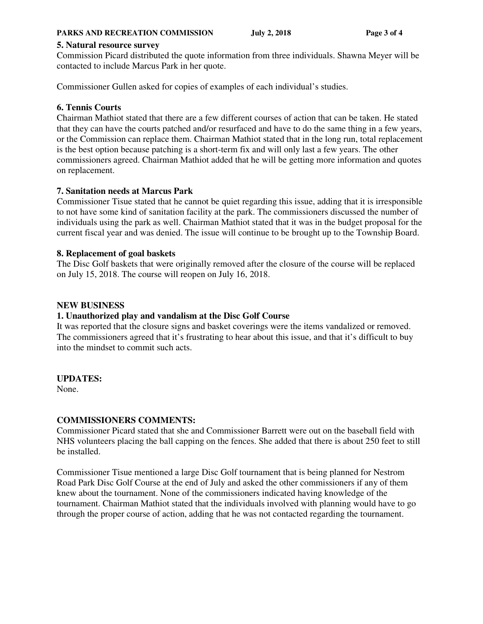#### **PARKS AND RECREATION COMMISSION** July 2, 2018 Page 3 of 4

#### **5. Natural resource survey**

Commission Picard distributed the quote information from three individuals. Shawna Meyer will be contacted to include Marcus Park in her quote.

Commissioner Gullen asked for copies of examples of each individual's studies.

## **6. Tennis Courts**

Chairman Mathiot stated that there are a few different courses of action that can be taken. He stated that they can have the courts patched and/or resurfaced and have to do the same thing in a few years, or the Commission can replace them. Chairman Mathiot stated that in the long run, total replacement is the best option because patching is a short-term fix and will only last a few years. The other commissioners agreed. Chairman Mathiot added that he will be getting more information and quotes on replacement.

## **7. Sanitation needs at Marcus Park**

Commissioner Tisue stated that he cannot be quiet regarding this issue, adding that it is irresponsible to not have some kind of sanitation facility at the park. The commissioners discussed the number of individuals using the park as well. Chairman Mathiot stated that it was in the budget proposal for the current fiscal year and was denied. The issue will continue to be brought up to the Township Board.

## **8. Replacement of goal baskets**

The Disc Golf baskets that were originally removed after the closure of the course will be replaced on July 15, 2018. The course will reopen on July 16, 2018.

## **NEW BUSINESS**

## **1. Unauthorized play and vandalism at the Disc Golf Course**

It was reported that the closure signs and basket coverings were the items vandalized or removed. The commissioners agreed that it's frustrating to hear about this issue, and that it's difficult to buy into the mindset to commit such acts.

## **UPDATES:**

None.

## **COMMISSIONERS COMMENTS:**

Commissioner Picard stated that she and Commissioner Barrett were out on the baseball field with NHS volunteers placing the ball capping on the fences. She added that there is about 250 feet to still be installed.

Commissioner Tisue mentioned a large Disc Golf tournament that is being planned for Nestrom Road Park Disc Golf Course at the end of July and asked the other commissioners if any of them knew about the tournament. None of the commissioners indicated having knowledge of the tournament. Chairman Mathiot stated that the individuals involved with planning would have to go through the proper course of action, adding that he was not contacted regarding the tournament.